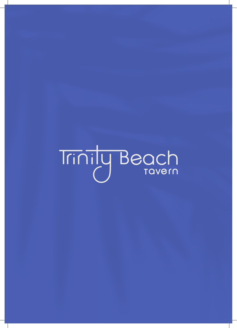# Trinily Beach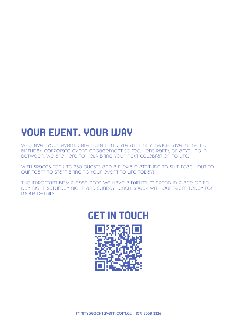# **YOUR EVENT. YOUR WAY**

WHATEVER YOUR EVENT, CELEBRATE IT IN STYLE AT TRINITY BEACH TAVERN. BE IT A birthday, corporate event, engagement soiree, hens party, or anything in between, we are here to help bring your next celebration to life.

WITH SPACES FOR 2 TO 250 GUESTS AND A FLEXIBLE ATTITUDE TO SUIT, REACH OUT TO our team to start bringing your event to life today!

The important bits: Please note we have a minimum spend in place on Friday night, Saturday night, and Sunday lunch. Speak with our team today for more *Details*.

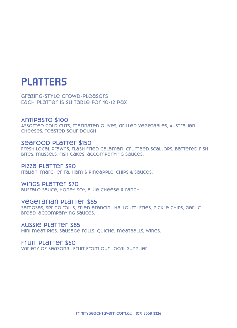# **PLATTERS**

**Grazing-style crowd-pleasers Each platter is suitable for 10-12 pax**

#### **Antipasto \$100**

**Assorted cold cuts, marinated olives, grilled vegetables, Australian**  *CHEESES, TOASTED SOUT DOUGH* 

#### **Seafood Platter \$150**

**Fresh local prawns, flash fried calamari, crumbed scallops, battered fish bites, mussels, fish cakes, accompanying sauces.**

#### **Pizza Platter \$90**

**Italian, margherita, ham & pineapple, chips & sauces.**

#### **Wings Platter \$70**

**Buffalo sauce, honey soy, blue cheese & ranch**

#### **Vegetarian Platter \$85**

**Samosas, spring rolls, fried arancini, halloumi fries, pickle chips, garlic bread, accompanying sauces.**

#### **Aussie Platter \$85**

**Mini meat pies, sausage rolls, quiche, meatballs, wings.**

#### **Fruit Platter \$60**

**Variety of seasonal fruit from our local supplier**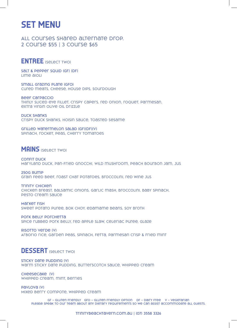## **SET MENU**

**All courses shared alternate drop. 2 course \$55 | 3 course \$65** 

#### **ENTREE (Select Two)**

**Salt & Pepper Squid (GF) (DF) Lime aioli** 

**Small Grazing Plate (GFO) Cured meats, cheese, house dips, sourdough**

**Beef Carpaccio Thinly sliced eye fillet, crispy capers, red onion, roquet, parmesan, extra virgin olive oil drizzle** 

**Duck Shanks Crispy duck shanks, hoisin sauce, toasted sesame** 

**Grilled Watermelon Salad (GF)(DF)(V) Spinach, rocket, peas, cherry tomatoes**

#### **MAINS (Select Two)**

**Confit Duck Maryland duck, pan-fried gnocchi, wild mushroom, peach bourbon jam, jus**

**250g Rump Grain feed beef, roast chat potatoes, broccolini, red wine jus**

**Trinity Chicken Chicken breast, balsamic onions, garlic mash, broccolini, baby spinach, pesto cream sauce** 

**Market Fish Sweet potato puree, bok choy, edamame beans, soy broth** 

**Pork Belly Porchetta Spice rubbed pork belly, red apple slaw, celeriac puree, glaze** 

**Risotto Verde (V) Arborio rice, garden peas, spinach, fetta, parmesan crisp & fried mint**

#### **DESSERT (Select Two)**

**STICKY DATE PUDDING (V) Warm sticky date pudding, butterscotch sauce, whipped cream**

**Cheesecake (V) Whipped cream, mint, berries**

**Pavlova (V) Mixed berry compote, whipped cream**

> **GF – Gluten Friendly GFO – Gluten Friendly Option DF – Dairy Free V – Vegetarian**  PLease speak to our team about any pietary requirements so we can assist accommodate all guests.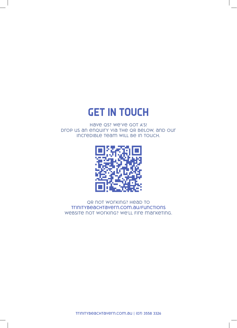# **GET IN TOUCH**

**Have Qs? We've got A's! Drop us an enquiry via the QR below, and our incredible team will be in touch.**



**QR not working? Head to trinitybeachtavern.com.au/functions Website not working? We'll fire marketing.**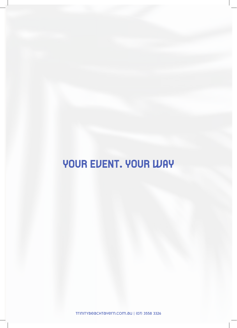# **YOUR EVENT. YOUR WAY**